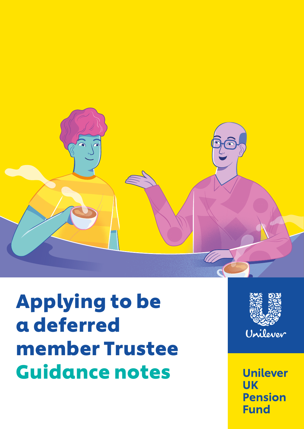

# Applying to be a deferred member Trustee Guidance notes



**Unilever UK Pension Fund**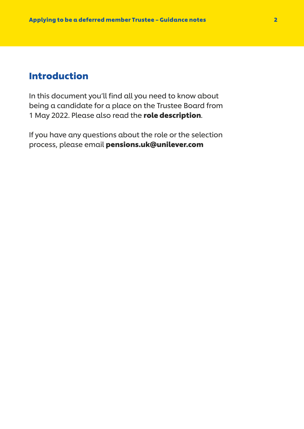### Introduction

In this document you'll find all you need to know about being a candidate for a place on the Trustee Board from 1 May 2022. Please also read the role description.

If you have any questions about the role or the selection process, please email pensions.uk@unilever.com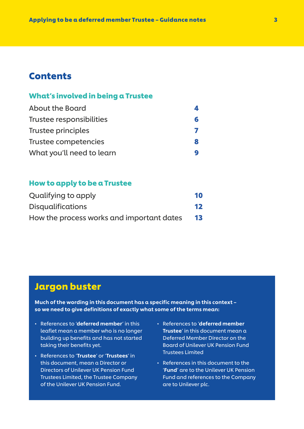### **Contents**

### What's involved in being a Trustee

| <b>About the Board</b>    | 4 |
|---------------------------|---|
| Trustee responsibilities  | 6 |
| Trustee principles        |   |
| Trustee competencies      | 8 |
| What you'll need to learn | 9 |

### How to apply to be a Trustee

| Qualifying to apply                       | 10 |
|-------------------------------------------|----|
| <b>Disqualifications</b>                  | 12 |
| How the process works and important dates | 13 |

### Jargon buster

Much of the wording in this document has a specific meaning in this context – so we need to give definitions of exactly what some of the terms mean:

- References to 'deferred member' in this leaflet mean a member who is no longer building up benefits and has not started taking their benefits yet.
- References to 'Trustee' or 'Trustees' in this document, mean a Director or Directors of Unilever UK Pension Fund Trustees Limited, the Trustee Company of the Unilever UK Pension Fund.
- References to 'deferred member Trustee' in this document mean a Deferred Member Director on the Board of Unilever UK Pension Fund Trustees Limited
- References in this document to the 'Fund' are to the Unilever UK Pension Fund and references to the Company are to Unilever plc.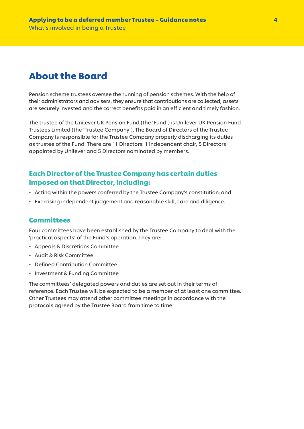# About the Board

Pension scheme trustees oversee the running of pension schemes. With the help of their administrators and advisers, they ensure that contributions are collected, assets are securely invested and the correct benefits paid in an efficient and timely fashion.

The trustee of the Unilever UK Pension Fund (the 'Fund') is Unilever UK Pension Fund Trustees Limited (the 'Trustee Company'). The Board of Directors of the Trustee Company is responsible for the Trustee Company properly discharging its duties as trustee of the Fund. There are 11 Directors: 1 independent chair, 5 Directors appointed by Unilever and 5 Directors nominated by members.

### Each Director of the Trustee Company has certain duties imposed on that Director, including:

- Acting within the powers conferred by the Trustee Company's constitution; and
- Exercising independent judgement and reasonable skill, care and diligence.

### **Committees**

Four committees have been established by the Trustee Company to deal with the 'practical aspects' of the Fund's operation. They are:

- Appeals & Discretions Committee
- Audit & Risk Committee
- Defined Contribution Committee
- Investment & Funding Committee

The committees' delegated powers and duties are set out in their terms of reference. Each Trustee will be expected to be a member of at least one committee. Other Trustees may attend other committee meetings in accordance with the protocols agreed by the Trustee Board from time to time.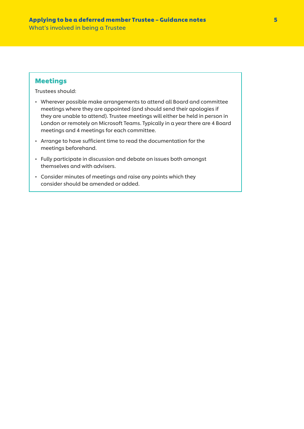### Meetings

Trustees should:

- Wherever possible make arrangements to attend all Board and committee meetings where they are appointed (and should send their apologies if they are unable to attend). Trustee meetings will either be held in person in London or remotely on Microsoft Teams. Typically in a year there are 4 Board meetings and 4 meetings for each committee.
- Arrange to have sufficient time to read the documentation for the meetings beforehand.
- Fully participate in discussion and debate on issues both amongst themselves and with advisers.
- Consider minutes of meetings and raise any points which they consider should be amended or added.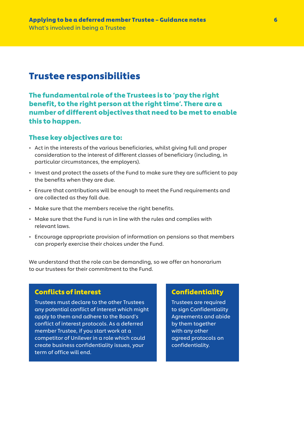### Trustee responsibilities

The fundamental role of the Trustees is to 'pay the right benefit, to the right person at the right time'. There are a number of different objectives that need to be met to enable this to happen.

### These key objectives are to:

- Act in the interests of the various beneficiaries, whilst giving full and proper consideration to the interest of different classes of beneficiary (including, in particular circumstances, the employers).
- Invest and protect the assets of the Fund to make sure they are sufficient to pay the benefits when they are due.
- Ensure that contributions will be enough to meet the Fund requirements and are collected as they fall due.
- Make sure that the members receive the right benefits.
- Make sure that the Fund is run in line with the rules and complies with relevant laws.
- Encourage appropriate provision of information on pensions so that members can properly exercise their choices under the Fund.

We understand that the role can be demanding, so we offer an honorarium to our trustees for their commitment to the Fund.

### Conflicts of interest

Trustees must declare to the other Trustees any potential conflict of interest which might apply to them and adhere to the Board's conflict of interest protocols. As a deferred member Trustee, if you start work at a competitor of Unilever in a role which could create business confidentiality issues, your term of office will end.

### **Confidentiality**

Trustees are required to sign Confidentiality Agreements and abide by them together with any other agreed protocols on confidentiality.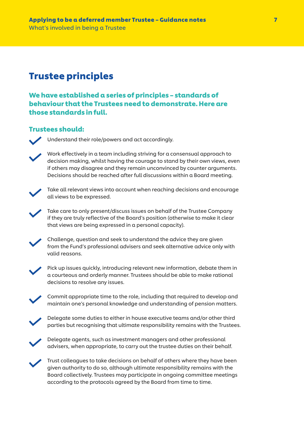# Trustee principles

We have established a series of principles – standards of behaviour that the Trustees need to demonstrate. Here are those standards in full.

### Trustees should:

Understand their role/powers and act accordingly.



 Work effectively in a team including striving for a consensual approach to decision making, whilst having the courage to stand by their own views, even if others may disagree and they remain unconvinced by counter arguments. Decisions should be reached after full discussions within a Board meeting.



 Take all relevant views into account when reaching decisions and encourage all views to be expressed.

 Take care to only present/discuss issues on behalf of the Trustee Company if they are truly reflective of the Board's position (otherwise to make it clear that views are being expressed in a personal capacity).



 Challenge, question and seek to understand the advice they are given from the Fund's professional advisers and seek alternative advice only with valid reasons.



Pick up issues quickly, introducing relevant new information, debate them in a courteous and orderly manner. Trustees should be able to make rational decisions to resolve any issues.



 Commit appropriate time to the role, including that required to develop and maintain one's personal knowledge and understanding of pension matters.



 Delegate some duties to either in house executive teams and/or other third parties but recognising that ultimate responsibility remains with the Trustees.



 Delegate agents, such as investment managers and other professional advisers, when appropriate, to carry out the trustee duties on their behalf.

 Trust colleagues to take decisions on behalf of others where they have been given authority to do so, although ultimate responsibility remains with the Board collectively. Trustees may participate in ongoing committee meetings according to the protocols agreed by the Board from time to time.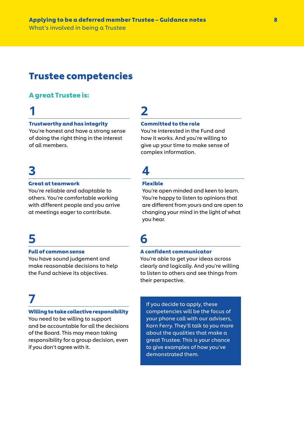# Trustee competencies

### A great Trustee is:

# 1

### Trustworthy and has integrity

You're honest and have a strong sense of doing the right thing in the interest of all members.

# 3

#### Great at teamwork

You're reliable and adaptable to others. You're comfortable working with different people and you arrive at meetings eager to contribute.

# 5

#### Full of common sense

You have sound judgement and make reasonable decisions to help the Fund achieve its objectives.

# 7

#### Willing to take collective responsibility

You need to be willing to support and be accountable for all the decisions of the Board. This may mean taking responsibility for a group decision, even if you don't agree with it.

# 2

#### Committed to the role

You're interested in the Fund and how it works. And you're willing to give up your time to make sense of complex information.

# 4

### Flexible

You're open minded and keen to learn. You're happy to listen to opinions that are different from yours and are open to changing your mind in the light of what you hear.

# 6

#### A confident communicator

You're able to get your ideas across clearly and logically. And you're willing to listen to others and see things from their perspective.

If you decide to apply, these competencies will be the focus of your phone call with our advisers, Korn Ferry. They'll talk to you more about the qualities that make a great Trustee. This is your chance to give examples of how you've demonstrated them.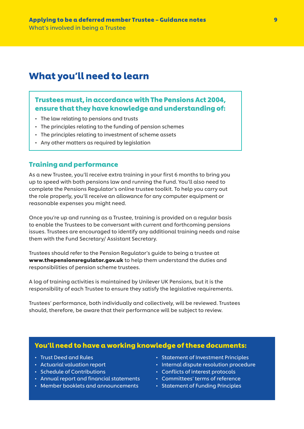### What you'll need to learn

### Trustees must, in accordance with The Pensions Act 2004, ensure that they have knowledge and understanding of:

- The law relating to pensions and trusts
- The principles relating to the funding of pension schemes
- The principles relating to investment of scheme assets
- Any other matters as required by legislation

### Training and performance

As a new Trustee, you'll receive extra training in your first 6 months to bring you up to speed with both pensions law and running the Fund. You'll also need to complete the Pensions Regulator's online trustee toolkit. To help you carry out the role properly, you'll receive an allowance for any computer equipment or reasonable expenses you might need.

Once you're up and running as a Trustee, training is provided on a regular basis to enable the Trustees to be conversant with current and forthcoming pensions issues. Trustees are encouraged to identify any additional training needs and raise them with the Fund Secretary/ Assistant Secretary.

Trustees should refer to the Pension Regulator's guide to being a trustee at www.thepensionsregulator.gov.uk to help them understand the duties and responsibilities of pension scheme trustees.

A log of training activities is maintained by Unilever UK Pensions, but it is the responsibility of each Trustee to ensure they satisfy the legislative requirements.

Trustees' performance, both individually and collectively, will be reviewed. Trustees should, therefore, be aware that their performance will be subject to review.

### You'll need to have a working knowledge of these documents:

- Trust Deed and Rules
- Actuarial valuation report
- Schedule of Contributions
- Annual report and financial statements
- Member booklets and announcements
- Statement of Investment Principles
- Internal dispute resolution procedure
- Conflicts of interest protocols
- Committees' terms of reference
- Statement of Funding Principles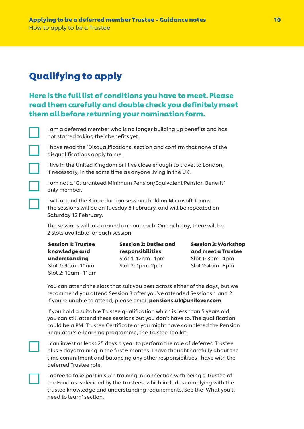# Qualifying to apply

### Here is the full list of conditions you have to meet. Please read them carefully and double check you definitely meet them all before returning your nomination form.



 I am a deferred member who is no longer building up benefits and has not started taking their benefits yet.



 I have read the 'Disqualifications' section and confirm that none of the disqualifications apply to me.

 I live in the United Kingdom or I live close enough to travel to London, if necessary, in the same time as anyone living in the UK.

 I am not a 'Guaranteed Minimum Pension/Equivalent Pension Benefit' only member.

 I will attend the 3 introduction sessions held on Microsoft Teams. The sessions will be on Tuesday 8 February, and will be repeated on Saturday 12 February.

 The sessions will last around an hour each. On each day, there will be 2 slots available for each session.

Session 1: Trustee knowledge and understanding Slot 1: 9am - 10am Slot 2: 10am - 11am Session 2: Duties and responsibilities Slot 1: 12am - 1pm Slot 2: 1pm - 2pm

Session 3: Workshop and meet a Trustee Slot 1: 3pm - 4pm Slot 2: 4pm - 5pm

 You can attend the slots that suit you best across either of the days, but we recommend you attend Session 3 after you've attended Sessions 1 and 2. If you're unable to attend, please email pensions.uk@unilever.com

 If you hold a suitable Trustee qualification which is less than 5 years old, you can still attend these sessions but you don't have to. The qualification could be a PMI Trustee Certificate or you might have completed the Pension Regulator's e-learning programme, the Trustee Toolkit.



 I can invest at least 25 days a year to perform the role of deferred Trustee plus 6 days training in the first 6 months. I have thought carefully about the time commitment and balancing any other responsibilities I have with the deferred Trustee role.

 I agree to take part in such training in connection with being a Trustee of the Fund as is decided by the Trustees, which includes complying with the trustee knowledge and understanding requirements. See the 'What you'll need to learn' section.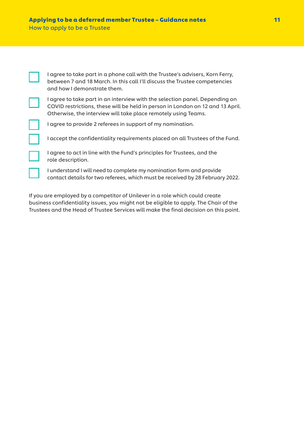| I agree to take part in a phone call with the Trustee's advisers, Korn Ferry,<br>between 7 and 18 March. In this call I'll discuss the Trustee competencies<br>and how I demonstrate them.                                      |
|---------------------------------------------------------------------------------------------------------------------------------------------------------------------------------------------------------------------------------|
| I agree to take part in an interview with the selection panel. Depending on<br>COVID restrictions, these will be held in person in London on 12 and 13 April.<br>Otherwise, the interview will take place remotely using Teams. |
| I agree to provide 2 referees in support of my nomination.                                                                                                                                                                      |
| I accept the confidentiality requirements placed on all Trustees of the Fund.                                                                                                                                                   |
| I agree to act in line with the Fund's principles for Trustees, and the<br>role description.                                                                                                                                    |
| I understand I will need to complete my nomination form and provide<br>contact details for two referees, which must be received by 28 February 2022.                                                                            |

If you are employed by a competitor of Unilever in a role which could create business confidentiality issues, you might not be eligible to apply. The Chair of the Trustees and the Head of Trustee Services will make the final decision on this point.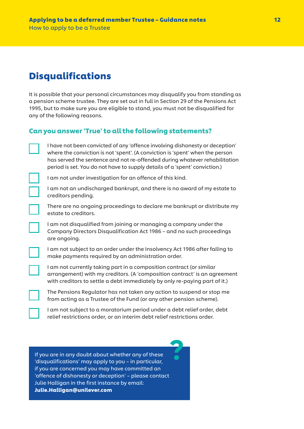# Disqualifications

It is possible that your personal circumstances may disqualify you from standing as a pension scheme trustee. They are set out in full in Section 29 of the Pensions Act 1995, but to make sure you are eligible to stand, you must not be disqualified for any of the following reasons.

### Can you answer 'True' to all the following statements?

 I have not been convicted of any 'offence involving dishonesty or deception' where the conviction is not 'spent'. (A conviction is 'spent' when the person has served the sentence and not re-offended during whatever rehabilitation period is set. You do not have to supply details of a 'spent' conviction.)

I am not under investigation for an offence of this kind.

 I am not an undischarged bankrupt, and there is no award of my estate to creditors pending.

 There are no ongoing proceedings to declare me bankrupt or distribute my estate to creditors.

 I am not disqualified from joining or managing a company under the Company Directors Disqualification Act 1986 – and no such proceedings are ongoing.

 I am not subject to an order under the Insolvency Act 1986 after failing to make payments required by an administration order.

 I am not currently taking part in a composition contract (or similar arrangement) with my creditors. (A 'composition contract' is an agreement with creditors to settle a debt immediately by only re-paying part of it.)

 The Pensions Regulator has not taken any action to suspend or stop me from acting as a Trustee of the Fund (or any other pension scheme).

 I am not subject to a moratorium period under a debt relief order, debt relief restrictions order, or an interim debt relief restrictions order.

If you are in any doubt about whether any of these 'disqualifications' may apply to you – in particular, if you are concerned you may have committed an 'offence of dishonesty or deception' – please contact Julie Halligan in the first instance by email: Julie.Halligan@unilever.com